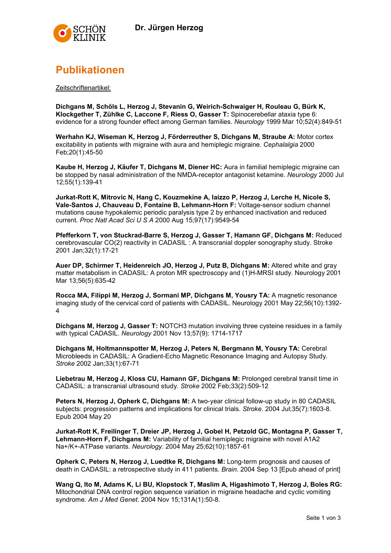

## Publikationen

Zeitschriftenartikel:

Dichgans M, Schöls L, Herzog J, Stevanin G, Weirich-Schwaiger H, Rouleau G, Bürk K, Klockgether T, Zühlke C, Laccone F, Riess O, Gasser T: Spinocerebellar ataxia type 6: evidence for a strong founder effect among German families. Neurology 1999 Mar 10:52(4):849-51

Werhahn KJ, Wiseman K, Herzog J, Förderreuther S, Dichgans M, Straube A: Motor cortex excitability in patients with migraine with aura and hemiplegic migraine. Cephalalgia 2000 Feb;20(1):45-50

Kaube H, Herzog J, Käufer T, Dichgans M, Diener HC: Aura in familial hemiplegic migraine can be stopped by nasal administration of the NMDA-receptor antagonist ketamine. Neurology 2000 Jul 12;55(1):139-41

Jurkat-Rott K, Mitrovic N, Hang C, Kouzmekine A, Iaizzo P, Herzog J, Lerche H, Nicole S, Vale-Santos J, Chauveau D, Fontaine B, Lehmann-Horn F: Voltage-sensor sodium channel mutations cause hypokalemic periodic paralysis type 2 by enhanced inactivation and reduced current. Proc Natl Acad Sci U S A 2000 Aug 15;97(17):9549-54

Pfefferkorn T, von Stuckrad-Barre S, Herzog J, Gasser T, Hamann GF, Dichgans M: Reduced cerebrovascular CO(2) reactivity in CADASIL : A transcranial doppler sonography study. Stroke 2001 Jan;32(1):17-21

Auer DP, Schirmer T, Heidenreich JO, Herzog J, Putz B, Dichgans M: Altered white and gray matter metabolism in CADASIL: A proton MR spectroscopy and (1)H-MRSI study. Neurology 2001 Mar 13;56(5):635-42

Rocca MA, Filippi M, Herzog J, Sormani MP, Dichgans M, Yousry TA: A magnetic resonance imaging study of the cervical cord of patients with CADASIL. Neurology 2001 May 22;56(10):1392- 4

Dichgans M, Herzog J, Gasser T: NOTCH3 mutation involving three cysteine residues in a family with typical CADASIL. Neurology 2001 Nov 13;57(9): 1714-1717

Dichgans M, Holtmannspotter M, Herzog J, Peters N, Bergmann M, Yousry TA: Cerebral Microbleeds in CADASIL: A Gradient-Echo Magnetic Resonance Imaging and Autopsy Study. Stroke 2002 Jan;33(1):67-71

Liebetrau M, Herzog J, Kloss CU, Hamann GF, Dichgans M: Prolonged cerebral transit time in CADASIL: a transcranial ultrasound study. Stroke 2002 Feb;33(2):509-12

Peters N, Herzog J, Opherk C, Dichgans M: A two-year clinical follow-up study in 80 CADASIL subjects: progression patterns and implications for clinical trials. Stroke. 2004 Jul;35(7):1603-8. Epub 2004 May 20

Jurkat-Rott K, Freilinger T, Dreier JP, Herzog J, Gobel H, Petzold GC, Montagna P, Gasser T, Lehmann-Horn F, Dichgans M: Variability of familial hemiplegic migraine with novel A1A2 Na+/K+-ATPase variants. Neurology. 2004 May 25;62(10):1857-61

Opherk C, Peters N, Herzog J, Luedtke R, Dichgans M: Long-term prognosis and causes of death in CADASIL: a retrospective study in 411 patients. Brain. 2004 Sep 13 [Epub ahead of print]

Wang Q, Ito M, Adams K, Li BU, Klopstock T, Maslim A, Higashimoto T, Herzog J, Boles RG: Mitochondrial DNA control region sequence variation in migraine headache and cyclic vomiting syndrome. Am J Med Genet. 2004 Nov 15;131A(1):50-8.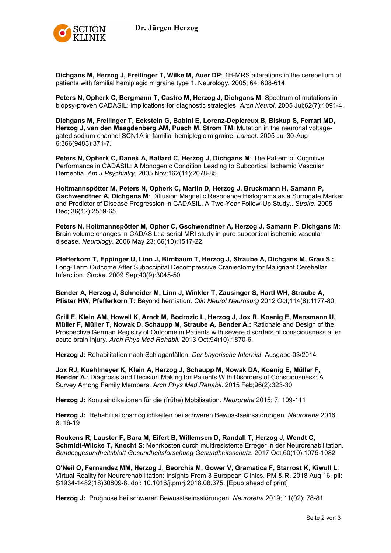

Dichgans M, Herzog J, Freilinger T, Wilke M, Auer DP: 1H-MRS alterations in the cerebellum of patients with familial hemiplegic migraine type 1. Neurology. 2005; 64; 608-614

Peters N, Opherk C, Bergmann T, Castro M, Herzog J, Dichgans M: Spectrum of mutations in biopsy-proven CADASIL: implications for diagnostic strategies. Arch Neurol. 2005 Jul;62(7):1091-4.

Dichgans M, Freilinger T, Eckstein G, Babini E, Lorenz-Depiereux B, Biskup S, Ferrari MD, Herzog J, van den Maagdenberg AM, Pusch M, Strom TM: Mutation in the neuronal voltagegated sodium channel SCN1A in familial hemiplegic migraine. Lancet. 2005 Jul 30-Aug 6;366(9483):371-7.

Peters N, Opherk C, Danek A, Ballard C, Herzog J, Dichgans M: The Pattern of Cognitive Performance in CADASIL: A Monogenic Condition Leading to Subcortical Ischemic Vascular Dementia. Am J Psychiatry. 2005 Nov;162(11):2078-85.

Holtmannspötter M, Peters N, Opherk C, Martin D, Herzog J, Bruckmann H, Samann P, Gschwendtner A, Dichgans M: Diffusion Magnetic Resonance Histograms as a Surrogate Marker and Predictor of Disease Progression in CADASIL. A Two-Year Follow-Up Study.. Stroke. 2005 Dec; 36(12):2559-65.

Peters N, Holtmannspötter M, Opher C, Gschwendtner A, Herzog J, Samann P, Dichgans M: Brain volume changes in CADASIL: a serial MRI study in pure subcortical ischemic vascular disease. Neurology. 2006 May 23; 66(10):1517-22.

Pfefferkorn T, Eppinger U, Linn J, Birnbaum T, Herzog J, Straube A, Dichgans M, Grau S.: Long-Term Outcome After Suboccipital Decompressive Craniectomy for Malignant Cerebellar Infarction. Stroke. 2009 Sep;40(9):3045-50

Bender A, Herzog J, Schneider M, Linn J, Winkler T, Zausinger S, Hartl WH, Straube A, Pfister HW, Pfefferkorn T: Beyond herniation. Clin Neurol Neurosurg 2012 Oct;114(8):1177-80.

Grill E, Klein AM, Howell K, Arndt M, Bodrozic L, Herzog J, Jox R, Koenig E, Mansmann U, Müller F, Müller T, Nowak D, Schaupp M, Straube A, Bender A.: Rationale and Design of the Prospective German Registry of Outcome in Patients with severe disorders of consciousness after acute brain injury. Arch Phys Med Rehabil. 2013 Oct;94(10):1870-6.

Herzog J: Rehabilitation nach Schlaganfällen. Der bayerische Internist. Ausgabe 03/2014

Jox RJ, Kuehlmeyer K, Klein A, Herzog J, Schaupp M, Nowak DA, Koenig E, Müller F, Bender A.: Diagnosis and Decision Making for Patients With Disorders of Consciousness: A Survey Among Family Members. Arch Phys Med Rehabil. 2015 Feb;96(2):323-30

Herzog J: Kontraindikationen für die (frühe) Mobilisation. Neuroreha 2015; 7: 109-111

Herzog J: Rehabilitationsmöglichkeiten bei schweren Bewusstseinsstörungen. Neuroreha 2016;  $8:16-19$ 

Roukens R, Lauster F, Bara M, Eifert B, Willemsen D, Randall T, Herzog J, Wendt C, Schmidt-Wilcke T, Knecht S: Mehrkosten durch multiresistente Erreger in der Neurorehabilitation. Bundesgesundheitsblatt Gesundheitsforschung Gesundheitsschutz. 2017 Oct;60(10):1075-1082

O'Neil O, Fernandez MM, Herzog J, Beorchia M, Gower V, Gramatica F, Starrost K, Kiwull L: Virtual Reality for Neurorehabilitation: Insights From 3 European Clinics. PM & R. 2018 Aug 16. pii: S1934-1482(18)30809-8. doi: 10.1016/j.pmrj.2018.08.375. [Epub ahead of print]

Herzog J: Prognose bei schweren Bewusstseinsstörungen. Neuroreha 2019; 11(02): 78-81